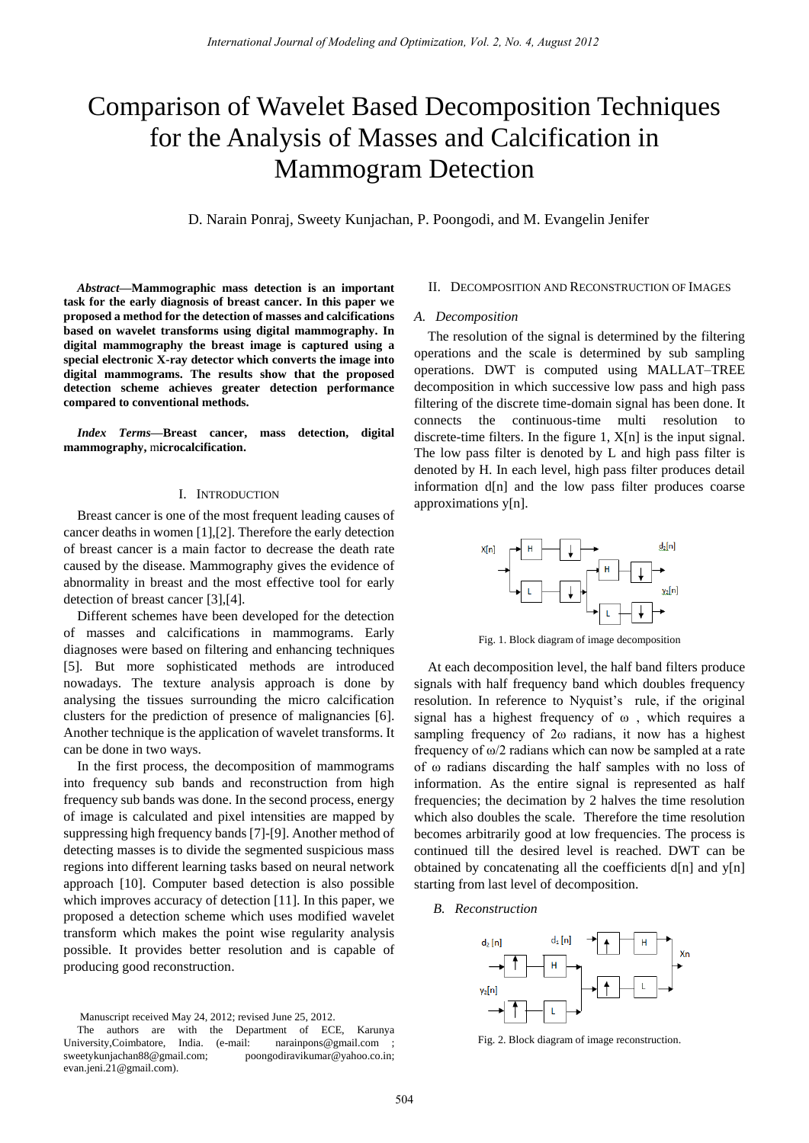# Comparison of Wavelet Based Decomposition Techniques for the Analysis of Masses and Calcification in Mammogram Detection

D. Narain Ponraj, Sweety Kunjachan, P. Poongodi, and M. Evangelin Jenifer

*Abstract***—Mammographic mass detection is an important task for the early diagnosis of breast cancer. In this paper we proposed a method for the detection of masses and calcifications based on wavelet transforms using digital mammography. In digital mammography the breast image is captured using a special electronic X-ray detector which converts the image into digital mammograms. The results show that the proposed detection scheme achieves greater detection performance compared to conventional methods.** 

*Index Terms***—Breast cancer, mass detection, digital mammography,** m**icrocalcification.** 

#### I. INTRODUCTION

Breast cancer is one of the most frequent leading causes of cancer deaths in women [1],[2]. Therefore the early detection of breast cancer is a main factor to decrease the death rate caused by the disease. Mammography gives the evidence of abnormality in breast and the most effective tool for early detection of breast cancer [3],[4].

Different schemes have been developed for the detection of masses and calcifications in mammograms. Early diagnoses were based on filtering and enhancing techniques [5]. But more sophisticated methods are introduced nowadays. The texture analysis approach is done by analysing the tissues surrounding the micro calcification clusters for the prediction of presence of malignancies [6]. Another technique is the application of wavelet transforms. It can be done in two ways.

In the first process, the decomposition of mammograms into frequency sub bands and reconstruction from high frequency sub bands was done. In the second process, energy of image is calculated and pixel intensities are mapped by suppressing high frequency bands [7]-[9]. Another method of detecting masses is to divide the segmented suspicious mass regions into different learning tasks based on neural network approach [10]. Computer based detection is also possible which improves accuracy of detection [11]. In this paper, we proposed a detection scheme which uses modified wavelet transform which makes the point wise regularity analysis possible. It provides better resolution and is capable of producing good reconstruction.

Manuscript received May 24, 2012; revised June 25, 2012.

## II. DECOMPOSITION AND RECONSTRUCTION OF IMAGES

## *A. Decomposition*

The resolution of the signal is determined by the filtering operations and the scale is determined by sub sampling operations. DWT is computed using MALLAT–TREE decomposition in which successive low pass and high pass filtering of the discrete time-domain signal has been done. It connects the continuous-time multi resolution to discrete-time filters. In the figure 1, X[n] is the input signal. The low pass filter is denoted by L and high pass filter is denoted by H. In each level, high pass filter produces detail information d[n] and the low pass filter produces coarse approximations y[n].



Fig. 1. Block diagram of image decomposition

At each decomposition level, the half band filters produce signals with half frequency band which doubles frequency resolution. In reference to Nyquist's rule, if the original signal has a highest frequency of ω , which requires a sampling frequency of 2ω radians, it now has a highest frequency of ω/2 radians which can now be sampled at a rate of ω radians discarding the half samples with no loss of information. As the entire signal is represented as half frequencies; the decimation by 2 halves the time resolution which also doubles the scale. Therefore the time resolution becomes arbitrarily good at low frequencies. The process is continued till the desired level is reached. DWT can be obtained by concatenating all the coefficients d[n] and y[n] starting from last level of decomposition.

#### *B. Reconstruction*



Fig. 2. Block diagram of image reconstruction.

The authors are with the Department of ECE, Karunya University,Coimbatore, India. (e-mail: narainpons@gmail.com sweetykunjachan88@gmail.com; poongodiravikumar@yahoo.co.in; evan.jeni.21@gmail.com).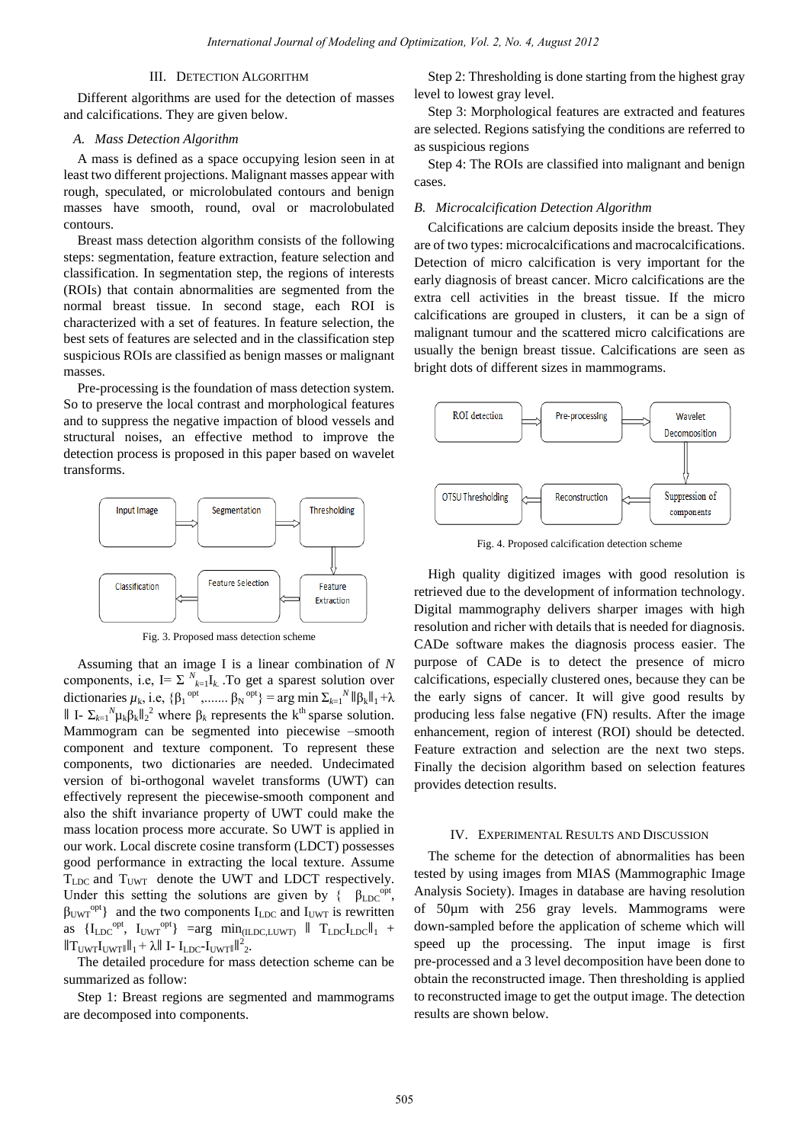## III. DETECTION ALGORITHM

Different algorithms are used for the detection of masses and calcifications. They are given below.

### *A. Mass Detection Algorithm*

A mass is defined as a space occupying lesion seen in at least two different projections. Malignant masses appear with rough, speculated, or microlobulated contours and benign masses have smooth, round, oval or macrolobulated contours.

Breast mass detection algorithm consists of the following steps: segmentation, feature extraction, feature selection and classification. In segmentation step, the regions of interests (ROIs) that contain abnormalities are segmented from the normal breast tissue. In second stage, each ROI is characterized with a set of features. In feature selection, the best sets of features are selected and in the classification step suspicious ROIs are classified as benign masses or malignant masses.

Pre-processing is the foundation of mass detection system. So to preserve the local contrast and morphological features and to suppress the negative impaction of blood vessels and structural noises, an effective method to improve the detection process is proposed in this paper based on wavelet transforms.



Fig. 3. Proposed mass detection scheme

Assuming that an image I is a linear combination of *N* components, i.e,  $I = \sum_{k=1}^{N} I_k$ . To get a sparest solution over dictionaries  $\mu_k$ , i.e,  $\{\beta_1^{opt}, \dots, \beta_N^{opt}\} = \arg \min \sum_{k=1}^N ||\beta_k||_1 + \lambda$ II I-  $\Sigma_{k=1}^N \mu_k \beta_k ||_2^2$  where  $\beta_k$  represents the k<sup>th</sup> sparse solution. Mammogram can be segmented into piecewise –smooth component and texture component. To represent these components, two dictionaries are needed. Undecimated version of bi-orthogonal wavelet transforms (UWT) can effectively represent the piecewise-smooth component and also the shift invariance property of UWT could make the mass location process more accurate. So UWT is applied in our work. Local discrete cosine transform (LDCT) possesses good performance in extracting the local texture. Assume  $T_{\text{LOC}}$  and  $T_{\text{UWT}}$  denote the UWT and LDCT respectively. Under this setting the solutions are given by  $\{\beta_{\text{LDC}}^{\text{opt}},\}$  $\beta_{\text{UWT}}^{\text{opt}}$  and the two components  $I_{\text{LDC}}$  and  $I_{\text{UWT}}$  is rewritten as  $\{I_{LDC}^{opt}$ ,  $I_{UWT}^{opt}$  =arg  $min_{(ILDC, LUWT)}$  ||  $T_{LDC}I_{LDC}$ ||<sub>1</sub> +  $\|\mathbf{T}_{\text{UWT}}\|_{\text{UWT}}\|_1 + \lambda \|\text{ I- I}_{\text{LDC}}\text{-}\mathbf{I}_{\text{UWT}}\|^2_2.$ 

The detailed procedure for mass detection scheme can be summarized as follow:

Step 1: Breast regions are segmented and mammograms are decomposed into components.

Step 2: Thresholding is done starting from the highest gray level to lowest gray level.

Step 3: Morphological features are extracted and features are selected. Regions satisfying the conditions are referred to as suspicious regions

Step 4: The ROIs are classified into malignant and benign cases.

#### *B. Microcalcification Detection Algorithm*

Calcifications are calcium deposits inside the breast. They are of two types: microcalcifications and macrocalcifications. Detection of micro calcification is very important for the early diagnosis of breast cancer. Micro calcifications are the extra cell activities in the breast tissue. If the micro calcifications are grouped in clusters, it can be a sign of malignant tumour and the scattered micro calcifications are usually the benign breast tissue. Calcifications are seen as bright dots of different sizes in mammograms.



Fig. 4. Proposed calcification detection scheme

High quality digitized images with good resolution is retrieved due to the development of information technology. Digital mammography delivers sharper images with high resolution and richer with details that is needed for diagnosis. CADe software makes the diagnosis process easier. The purpose of CADe is to detect the presence of micro calcifications, especially clustered ones, because they can be the early signs of cancer. It will give good results by producing less false negative (FN) results. After the image enhancement, region of interest (ROI) should be detected. Feature extraction and selection are the next two steps. Finally the decision algorithm based on selection features provides detection results.

## IV. EXPERIMENTAL RESULTS AND DISCUSSION

The scheme for the detection of abnormalities has been tested by using images from MIAS (Mammographic Image Analysis Society). Images in database are having resolution of 50µm with 256 gray levels. Mammograms were down-sampled before the application of scheme which will speed up the processing. The input image is first pre-processed and a 3 level decomposition have been done to obtain the reconstructed image. Then thresholding is applied to reconstructed image to get the output image. The detection results are shown below.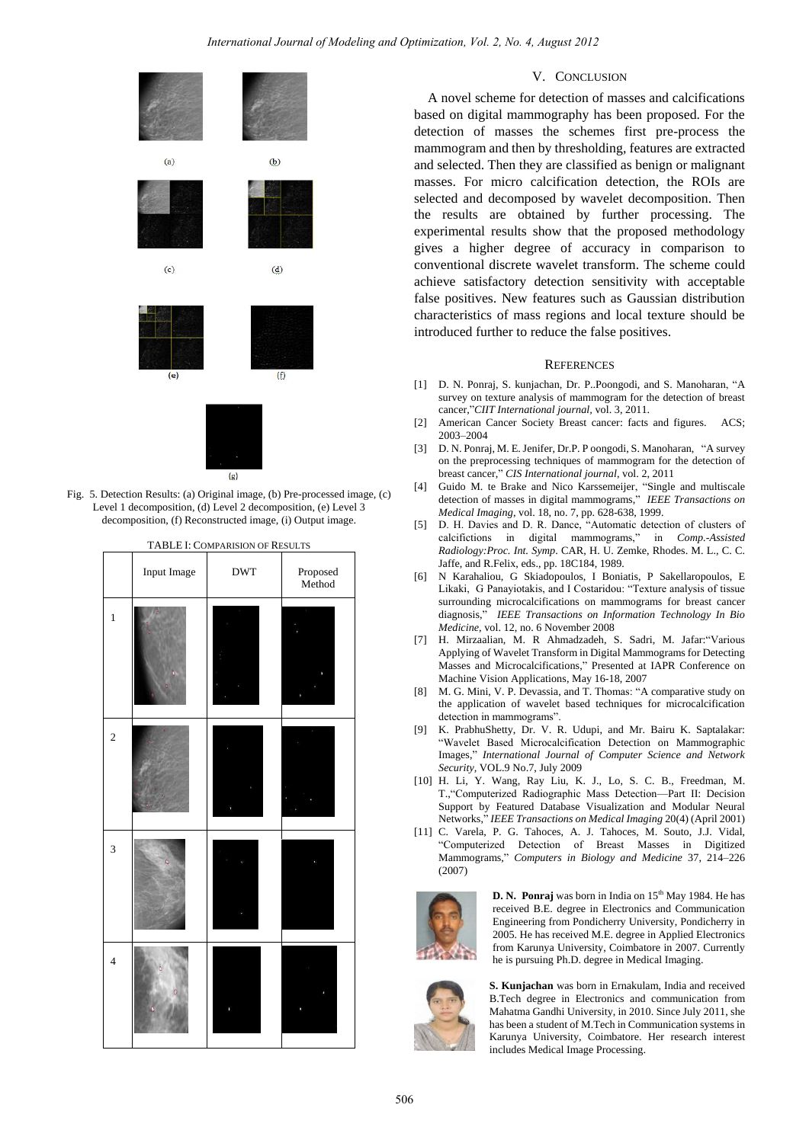

Fig. 5. Detection Results: (a) Original image, (b) Pre-processed image, (c) Level 1 decomposition, (d) Level 2 decomposition, (e) Level 3 decomposition, (f) Reconstructed image, (i) Output image.

|                         | Input Image | <b>DWT</b> | Proposed<br>Method |
|-------------------------|-------------|------------|--------------------|
| $\,1$                   |             |            | I                  |
| $\overline{c}$          |             |            |                    |
| $\overline{\mathbf{3}}$ |             |            |                    |
| $\overline{4}$          |             |            |                    |

# TABLE I: COMPARISION OF RESULTS

## V. CONCLUSION

A novel scheme for detection of masses and calcifications based on digital mammography has been proposed. For the detection of masses the schemes first pre-process the mammogram and then by thresholding, features are extracted and selected. Then they are classified as benign or malignant masses. For micro calcification detection, the ROIs are selected and decomposed by wavelet decomposition. Then the results are obtained by further processing. The experimental results show that the proposed methodology gives a higher degree of accuracy in comparison to conventional discrete wavelet transform. The scheme could achieve satisfactory detection sensitivity with acceptable false positives. New features such as Gaussian distribution characteristics of mass regions and local texture should be introduced further to reduce the false positives.

#### **REFERENCES**

- [1] D. N. Ponraj, S. kunjachan, Dr. P. Poongodi, and S. Manoharan, "A survey on texture analysis of mammogram for the detection of breast cancer,"*CIIT International journal*, vol. 3, 2011.
- [2] American Cancer Society Breast cancer: facts and figures. ACS; 2003–2004
- [3] D. N. Ponraj, M. E. Jenifer, Dr.P. P oongodi, S. Manoharan, "A survey on the preprocessing techniques of mammogram for the detection of breast cancer," CIS International journal, vol. 2, 2011
- [4] Guido M. te Brake and Nico Karssemeijer, "Single and multiscale detection of masses in digital mammograms," IEEE Transactions on *Medical Imaging*, vol. 18, no. 7, pp. 628-638, 1999.
- [5] D. H. Davies and D. R. Dance, "Automatic detection of clusters of calcifictions in digital mammograms," in *Comp.-Assisted Radiology:Proc. Int. Symp*. CAR, H. U. Zemke, Rhodes. M. L., C. C. Jaffe, and R.Felix, eds., pp. 18C184, 1989.
- [6] N Karahaliou, G Skiadopoulos, I Boniatis, P Sakellaropoulos, E Likaki, G Panayiotakis, and I Costaridou: "Texture analysis of tissue surrounding microcalcifications on mammograms for breast cancer diagnosis,‖ *IEEE Transactions on Information Technology In Bio Medicine*, vol. 12, no. 6 November 2008
- [7] H. Mirzaalian, M. R Ahmadzadeh, S. Sadri, M. Jafar:"Various Applying of Wavelet Transform in Digital Mammograms for Detecting Masses and Microcalcifications," Presented at IAPR Conference on Machine Vision Applications, May 16-18, 2007
- [8] M. G. Mini, V. P. Devassia, and T. Thomas: "A comparative study on the application of wavelet based techniques for microcalcification detection in mammograms".
- [9] K. PrabhuShetty, Dr. V. R. Udupi, and Mr. Bairu K. Saptalakar: ―Wavelet Based Microcalcification Detection on Mammographic Images," International Journal of Computer Science and Network *Security,* VOL.9 No.7, July 2009
- [10] H. Li, Y. Wang, Ray Liu, K. J., Lo, S. C. B., Freedman, M. T., "Computerized Radiographic Mass Detection-Part II: Decision Support by Featured Database Visualization and Modular Neural Networks,‖ *IEEE Transactions on Medical Imaging* 20(4) (April 2001)
- [11] C. Varela, P. G. Tahoces, A. J. Tahoces, M. Souto, J.J. Vidal, ―Computerized Detection of Breast Masses in Digitized Mammograms,‖ *Computers in Biology and Medicine* 37, 214–226 (2007)



**D. N. Ponraj** was born in India on 15<sup>th</sup> May 1984. He has received B.E. degree in Electronics and Communication Engineering from Pondicherry University, Pondicherry in 2005. He has received M.E. degree in Applied Electronics from Karunya University, Coimbatore in 2007. Currently he is pursuing Ph.D. degree in Medical Imaging.



**S. Kunjachan** was born in Ernakulam, India and received B.Tech degree in Electronics and communication from Mahatma Gandhi University, in 2010. Since July 2011, she has been a student of M.Tech in Communication systems in Karunya University, Coimbatore. Her research interest includes Medical Image Processing.